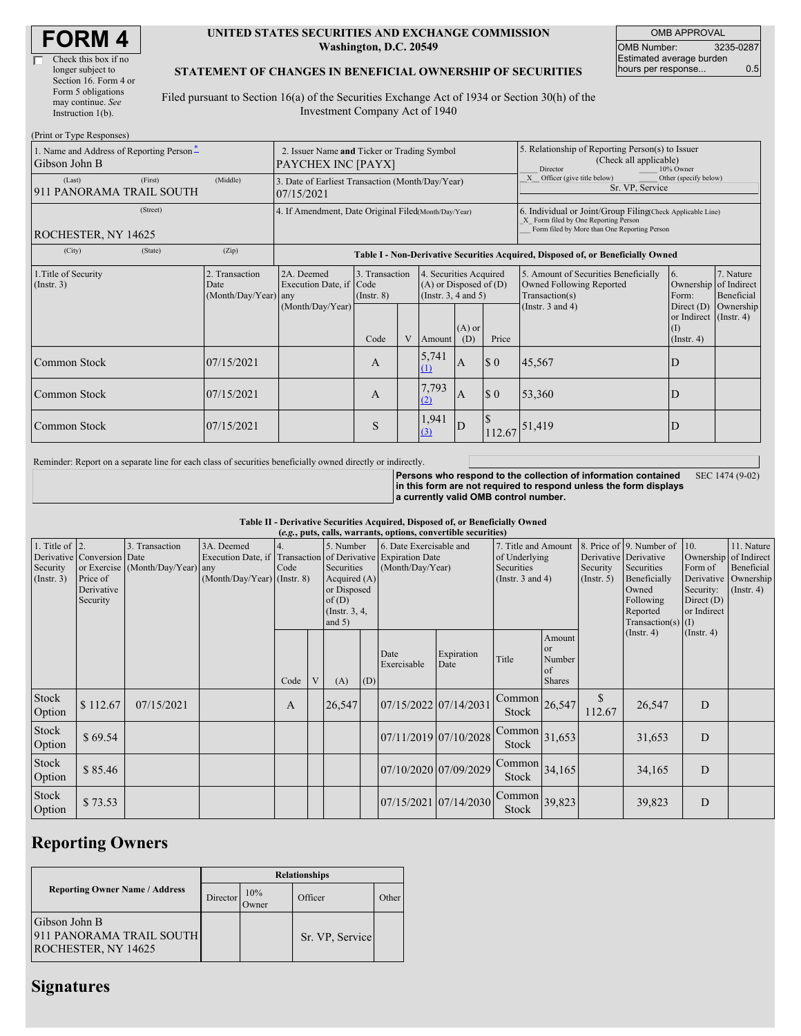| <b>FORM4</b> |
|--------------|
|--------------|

| Check this box if no  |
|-----------------------|
| longer subject to     |
| Section 16. Form 4 or |
| Form 5 obligations    |
| may continue. See     |
| Instruction 1(b).     |
|                       |

 $(D_{\text{wint on}} T_{\text{true}})$ 

## **UNITED STATES SECURITIES AND EXCHANGE COMMISSION Washington, D.C. 20549**

OMB APPROVAL OMB Number: 3235-0287 Estimated average burden hours per response... 0.5

## **STATEMENT OF CHANGES IN BENEFICIAL OWNERSHIP OF SECURITIES**

Filed pursuant to Section 16(a) of the Securities Exchange Act of 1934 or Section 30(h) of the Investment Company Act of 1940

| 1. Name and Address of Reporting Person-<br>Gibson John B |                                                      | 2. Issuer Name and Ticker or Trading Symbol<br>PAYCHEX INC [PAYX]                |                                           |   |                                                                                                                    |     | 5. Relationship of Reporting Person(s) to Issuer<br>(Check all applicable)<br>10% Owner<br>Director                                                |                                                                                                             |                                                                                                           |                                      |  |
|-----------------------------------------------------------|------------------------------------------------------|----------------------------------------------------------------------------------|-------------------------------------------|---|--------------------------------------------------------------------------------------------------------------------|-----|----------------------------------------------------------------------------------------------------------------------------------------------------|-------------------------------------------------------------------------------------------------------------|-----------------------------------------------------------------------------------------------------------|--------------------------------------|--|
| (First)<br>(Last)<br>911 PANORAMA TRAIL SOUTH             | (Middle)                                             | 3. Date of Earliest Transaction (Month/Day/Year)<br>07/15/2021                   |                                           |   |                                                                                                                    |     | Officer (give title below)<br>Other (specify below)<br>Sr. VP, Service                                                                             |                                                                                                             |                                                                                                           |                                      |  |
| (Street)<br>ROCHESTER, NY 14625                           | 4. If Amendment, Date Original Filed(Month/Day/Year) |                                                                                  |                                           |   |                                                                                                                    |     | 6. Individual or Joint/Group Filing(Check Applicable Line)<br>X Form filed by One Reporting Person<br>Form filed by More than One Reporting Person |                                                                                                             |                                                                                                           |                                      |  |
| (City)<br>(State)                                         | (Zip)                                                | Table I - Non-Derivative Securities Acquired, Disposed of, or Beneficially Owned |                                           |   |                                                                                                                    |     |                                                                                                                                                    |                                                                                                             |                                                                                                           |                                      |  |
| 1. Title of Security<br>(Insert. 3)                       | 2. Transaction<br>Date<br>(Month/Day/Year) any       | 2A. Deemed<br>Execution Date, if Code<br>(Month/Day/Year)                        | 3. Transaction<br>$($ Instr. $8)$<br>Code | V | 4. Securities Acquired<br>$(A)$ or Disposed of $(D)$<br>(Insert. 3, 4 and 5)<br>$(A)$ or<br>Price<br>(D)<br>Amount |     |                                                                                                                                                    | 5. Amount of Securities Beneficially<br>Owned Following Reported<br>Transaction(s)<br>(Instr. $3$ and $4$ ) | 6.<br>Ownership of Indirect<br>Form:<br>Direct $(D)$<br>or Indirect (Instr. 4)<br>$\rm(D)$<br>(Insert. 4) | 7. Nature<br>Beneficial<br>Ownership |  |
| <b>Common Stock</b>                                       | 07/15/2021                                           |                                                                                  | A                                         |   | 5,741<br><sup>(1)</sup>                                                                                            | I A | \$0                                                                                                                                                | 45,567                                                                                                      | D                                                                                                         |                                      |  |
| Common Stock                                              | 07/15/2021                                           |                                                                                  | A                                         |   | 7,793<br>(2)                                                                                                       | I A | \$0                                                                                                                                                | 53,360                                                                                                      | D                                                                                                         |                                      |  |
| Common Stock                                              | 07/15/2021                                           |                                                                                  | S                                         |   | 1,941<br>(3)                                                                                                       | D   | S<br>112.67                                                                                                                                        | 51,419                                                                                                      | D                                                                                                         |                                      |  |

Reminder: Report on a separate line for each class of securities beneficially owned directly or indirectly.

**Persons who respond to the collection of information contained in this form are not required to respond unless the form displays a currently valid OMB control number.** SEC 1474 (9-02)

**Table II - Derivative Securities Acquired, Disposed of, or Beneficially Owned**

| (e.g., puts, calls, warrants, options, convertible securities) |                                    |                                                    |                                  |      |   |                                                                       |     |                                                                                          |                       |                                                    |                                                      |                                   |                                                                        |                                          |                                                   |
|----------------------------------------------------------------|------------------------------------|----------------------------------------------------|----------------------------------|------|---|-----------------------------------------------------------------------|-----|------------------------------------------------------------------------------------------|-----------------------|----------------------------------------------------|------------------------------------------------------|-----------------------------------|------------------------------------------------------------------------|------------------------------------------|---------------------------------------------------|
| 1. Title of $\vert$ 2.<br>Security                             | Derivative Conversion Date         | 3. Transaction<br>or Exercise (Month/Day/Year) any | 3A. Deemed<br>Execution Date, if | Code |   | 5. Number<br>Securities                                               |     | 6. Date Exercisable and<br>Transaction of Derivative Expiration Date<br>(Month/Day/Year) |                       | 7. Title and Amount<br>of Underlying<br>Securities |                                                      | Derivative Derivative<br>Security | 8. Price of 9. Number of<br>Securities                                 | 10.<br>Form of                           | 11. Nature<br>Ownership of Indirect<br>Beneficial |
| (Insert. 3)                                                    | Price of<br>Derivative<br>Security |                                                    | $(Month/Day/Year)$ (Instr. 8)    |      |   | Acquired $(A)$<br>or Disposed<br>of(D)<br>(Instr. $3, 4,$<br>and $5)$ |     |                                                                                          |                       | (Instr. $3$ and $4$ )                              |                                                      | (Insert. 5)                       | Beneficially<br>Owned<br>Following<br>Reported<br>Transaction(s) $(I)$ | Security:<br>Direct $(D)$<br>or Indirect | Derivative Ownership<br>$($ Instr. 4 $)$          |
|                                                                |                                    |                                                    |                                  | Code | V | (A)                                                                   | (D) | Date<br>Exercisable                                                                      | Expiration<br>Date    | Title                                              | Amount<br><b>or</b><br>Number<br>of<br><b>Shares</b> |                                   | $($ Instr. 4 $)$                                                       | $($ Instr. 4 $)$                         |                                                   |
| Stock<br>Option                                                | \$112.67                           | 07/15/2021                                         |                                  | A    |   | 26,547                                                                |     | 07/15/2022 07/14/2031                                                                    |                       | $\lfloor$ Common $\rfloor$ 26,547<br>Stock         |                                                      | $\mathbb{S}$<br>112.67            | 26,547                                                                 | D                                        |                                                   |
| Stock<br>Option                                                | \$69.54                            |                                                    |                                  |      |   |                                                                       |     |                                                                                          | 07/11/2019 07/10/2028 | Common<br>Stock                                    | 31,653                                               |                                   | 31,653                                                                 | D                                        |                                                   |
| Stock<br>Option                                                | \$85.46                            |                                                    |                                  |      |   |                                                                       |     |                                                                                          | 07/10/2020 07/09/2029 | $\text{Common}$ 34,165<br>Stock                    |                                                      |                                   | 34,165                                                                 | D                                        |                                                   |
| Stock<br>Option                                                | \$73.53                            |                                                    |                                  |      |   |                                                                       |     |                                                                                          | 07/15/2021 07/14/2030 | $\sqrt{\text{Common}}$ 39,823<br>Stock             |                                                      |                                   | 39,823                                                                 | D                                        |                                                   |

## **Reporting Owners**

|                                                                  | <b>Relationships</b> |                     |                 |       |  |  |  |
|------------------------------------------------------------------|----------------------|---------------------|-----------------|-------|--|--|--|
| <b>Reporting Owner Name / Address</b>                            | Director             | 10%<br><b>Tymer</b> | Officer         | Other |  |  |  |
| Gibson John B<br>911 PANORAMA TRAIL SOUTH<br>ROCHESTER, NY 14625 |                      |                     | Sr. VP, Service |       |  |  |  |

## **Signatures**